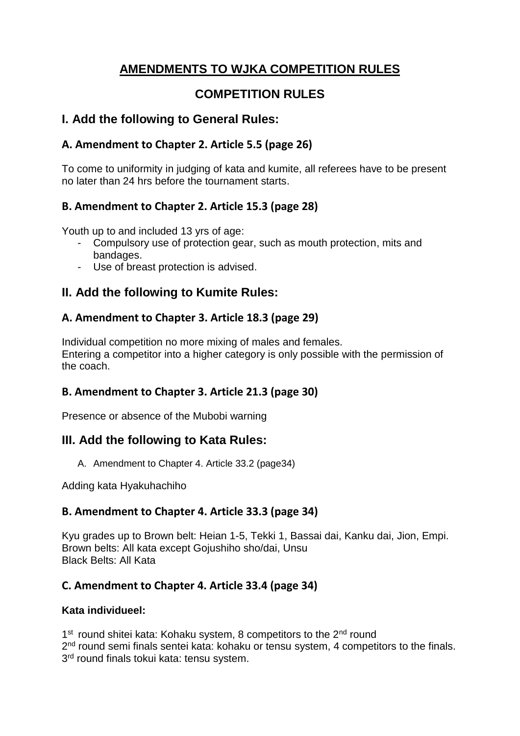# **AMENDMENTS TO WJKA COMPETITION RULES**

# **COMPETITION RULES**

# **I. Add the following to General Rules:**

# **A. Amendment to Chapter 2. Article 5.5 (page 26)**

To come to uniformity in judging of kata and kumite, all referees have to be present no later than 24 hrs before the tournament starts.

# **B. Amendment to Chapter 2. Article 15.3 (page 28)**

Youth up to and included 13 yrs of age:

- Compulsory use of protection gear, such as mouth protection, mits and bandages.
- Use of breast protection is advised.

# **II. Add the following to Kumite Rules:**

## **А. Amendment to Chapter 3. Article 18.3 (page 29)**

Individual competition no more mixing of males and females. Entering a competitor into a higher category is only possible with the permission of the coach.

## **B. Amendment to Chapter 3. Article 21.3 (page 30)**

Presence or absence of the Mubobi warning

# **III. Add the following to Kata Rules:**

A. Amendment to Chapter 4. Article 33.2 (page34)

Adding kata Hyakuhachiho

## **B. Amendment to Chapter 4. Article 33.3 (page 34)**

Kyu grades up to Brown belt: Heian 1-5, Tekki 1, Bassai dai, Kanku dai, Jion, Empi. Brown belts: All kata except Gojushiho sho/dai, Unsu Black Belts: All Kata

## **C. Amendment to Chapter 4. Article 33.4 (page 34)**

### **Kata individueel:**

1<sup>st</sup> round shitei kata: Kohaku system, 8 competitors to the 2<sup>nd</sup> round 2<sup>nd</sup> round semi finals sentei kata: kohaku or tensu system, 4 competitors to the finals. 3<sup>rd</sup> round finals tokui kata: tensu system.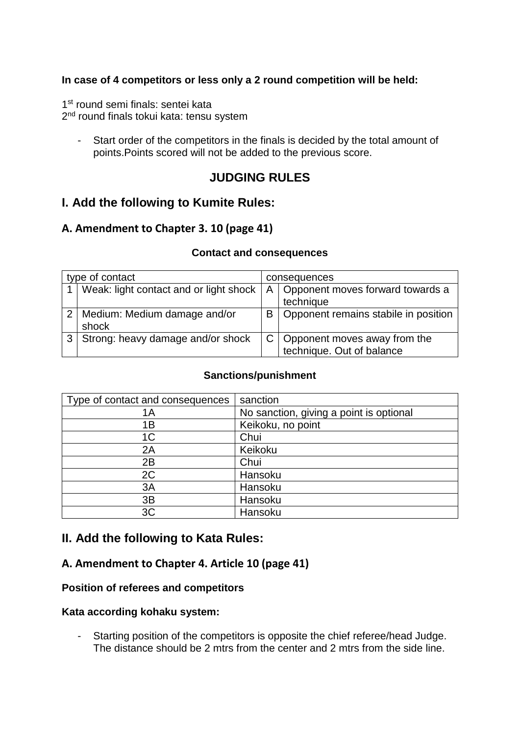### **In case of 4 competitors or less only a 2 round competition will be held:**

1<sup>st</sup> round semi finals: sentei kata 2<sup>nd</sup> round finals tokui kata: tensu system

- Start order of the competitors in the finals is decided by the total amount of points.Points scored will not be added to the previous score.

# **JUDGING RULES**

## **I. Add the following to Kumite Rules:**

### **A. Amendment to Chapter 3. 10 (page 41)**

#### **Contact and consequences**

| type of contact |                                        | consequences |                                                                 |  |
|-----------------|----------------------------------------|--------------|-----------------------------------------------------------------|--|
|                 | Weak: light contact and or light shock |              | A   Opponent moves forward towards a<br>technique               |  |
|                 | Medium: Medium damage and/or<br>shock  | B            | Opponent remains stabile in position                            |  |
| 3               | Strong: heavy damage and/or shock      |              | $C$   Opponent moves away from the<br>technique. Out of balance |  |

#### **Sanctions/punishment**

| Type of contact and consequences | sanction                                |
|----------------------------------|-----------------------------------------|
| 1Α                               | No sanction, giving a point is optional |
| 1B                               | Keikoku, no point                       |
| 1 <sup>C</sup>                   | Chui                                    |
| 2A                               | Keikoku                                 |
| 2B                               | Chui                                    |
| 2C                               | Hansoku                                 |
| 3A                               | Hansoku                                 |
| 3B                               | Hansoku                                 |
| 3C                               | Hansoku                                 |

### **II. Add the following to Kata Rules:**

### **A. Amendment to Chapter 4. Article 10 (page 41)**

#### **Position of referees and competitors**

#### **Kata according kohaku system:**

- Starting position of the competitors is opposite the chief referee/head Judge. The distance should be 2 mtrs from the center and 2 mtrs from the side line.